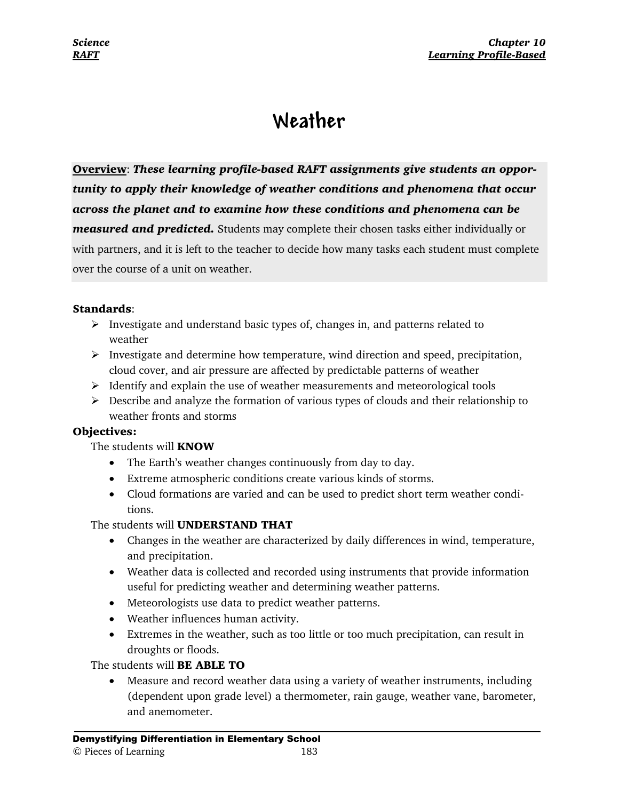## **Weather**

**Overview**: *These learning profile-based RAFT assignments give students an opportunity to apply their knowledge of weather conditions and phenomena that occur across the planet and to examine how these conditions and phenomena can be measured and predicted.* Students may complete their chosen tasks either individually or with partners, and it is left to the teacher to decide how many tasks each student must complete over the course of a unit on weather.

#### **Standards**:

- $\triangleright$  Investigate and understand basic types of, changes in, and patterns related to weather
- ¾ Investigate and determine how temperature, wind direction and speed, precipitation, cloud cover, and air pressure are affected by predictable patterns of weather
- $\triangleright$  Identify and explain the use of weather measurements and meteorological tools
- $\triangleright$  Describe and analyze the formation of various types of clouds and their relationship to weather fronts and storms

#### **Objectives:**

#### The students will **KNOW**

- The Earth's weather changes continuously from day to day.
- Extreme atmospheric conditions create various kinds of storms.
- Cloud formations are varied and can be used to predict short term weather conditions.

#### The students will **UNDERSTAND THAT**

- Changes in the weather are characterized by daily differences in wind, temperature, and precipitation.
- Weather data is collected and recorded using instruments that provide information useful for predicting weather and determining weather patterns.
- Meteorologists use data to predict weather patterns.
- Weather influences human activity.
- Extremes in the weather, such as too little or too much precipitation, can result in droughts or floods.

#### The students will **BE ABLE TO**

• Measure and record weather data using a variety of weather instruments, including (dependent upon grade level) a thermometer, rain gauge, weather vane, barometer, and anemometer.